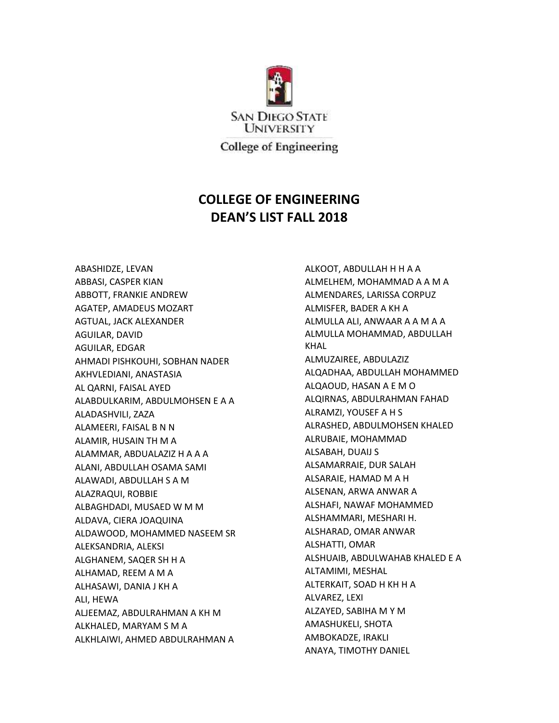

## **COLLEGE OF ENGINEERING DEAN'S LIST FALL 2018**

ABASHIDZE, LEVAN ABBASI, CASPER KIAN ABBOTT, FRANKIE ANDREW AGATEP, AMADEUS MOZART AGTUAL, JACK ALEXANDER AGUILAR, DAVID AGUILAR, EDGAR AHMADI PISHKOUHI, SOBHAN NADER AKHVLEDIANI, ANASTASIA AL QARNI, FAISAL AYED ALABDULKARIM, ABDULMOHSEN E A A ALADASHVILI, ZAZA ALAMEERI, FAISAL B N N ALAMIR, HUSAIN TH M A ALAMMAR, ABDUALAZIZ H A A A ALANI, ABDULLAH OSAMA SAMI ALAWADI, ABDULLAH S A M ALAZRAQUI, ROBBIE ALBAGHDADI, MUSAED W M M ALDAVA, CIERA JOAQUINA ALDAWOOD, MOHAMMED NASEEM SR ALEKSANDRIA, ALEKSI ALGHANEM, SAQER SH H A ALHAMAD, REEM A M A ALHASAWI, DANIA J KH A ALI, HEWA ALJEEMAZ, ABDULRAHMAN A KH M ALKHALED, MARYAM S M A ALKHLAIWI, AHMED ABDULRAHMAN A

ALKOOT, ABDULLAH H H A A ALMELHEM, MOHAMMAD A A M A ALMENDARES, LARISSA CORPUZ ALMISFER, BADER A KH A ALMULLA ALI, ANWAAR A A M A A ALMULLA MOHAMMAD, ABDULLAH KHAL ALMUZAIREE, ABDULAZIZ ALQADHAA, ABDULLAH MOHAMMED ALQAOUD, HASAN A E M O ALQIRNAS, ABDULRAHMAN FAHAD ALRAMZI, YOUSEF A H S ALRASHED, ABDULMOHSEN KHALED ALRUBAIE, MOHAMMAD ALSABAH, DUAIJ S ALSAMARRAIE, DUR SALAH ALSARAIE, HAMAD M A H ALSENAN, ARWA ANWAR A ALSHAFI, NAWAF MOHAMMED ALSHAMMARI, MESHARI H. ALSHARAD, OMAR ANWAR ALSHATTI, OMAR ALSHUAIB, ABDULWAHAB KHALED E A ALTAMIMI, MESHAL ALTERKAIT, SOAD H KH H A ALVAREZ, LEXI ALZAYED, SABIHA M Y M AMASHUKELI, SHOTA AMBOKADZE, IRAKLI ANAYA, TIMOTHY DANIEL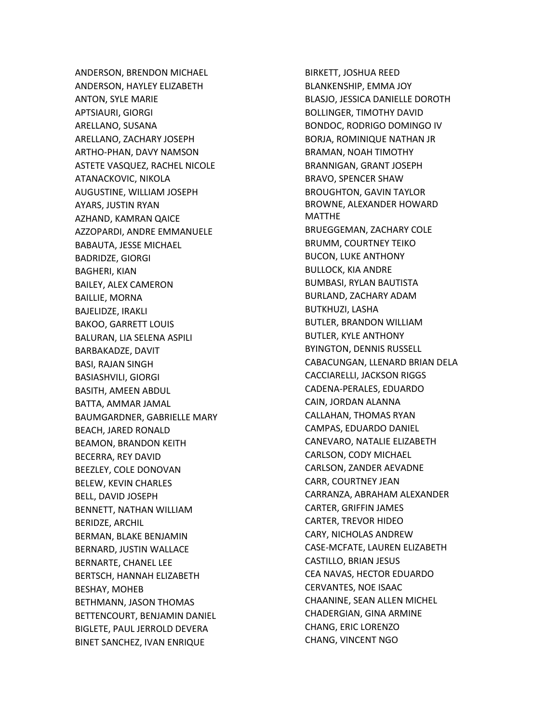ANDERSON, BRENDON MICHAEL ANDERSON, HAYLEY ELIZABETH ANTON, SYLE MARIE APTSIAURI, GIORGI ARELLANO, SUSANA ARELLANO, ZACHARY JOSEPH ARTHO-PHAN, DAVY NAMSON ASTETE VASQUEZ, RACHEL NICOLE ATANACKOVIC, NIKOLA AUGUSTINE, WILLIAM JOSEPH AYARS, JUSTIN RYAN AZHAND, KAMRAN QAICE AZZOPARDI, ANDRE EMMANUELE BABAUTA, JESSE MICHAEL BADRIDZE, GIORGI BAGHERI, KIAN BAILEY, ALEX CAMERON BAILLIE, MORNA BAJELIDZE, IRAKLI BAKOO, GARRETT LOUIS BALURAN, LIA SELENA ASPILI BARBAKADZE, DAVIT BASI, RAJAN SINGH BASIASHVILI, GIORGI BASITH, AMEEN ABDUL BATTA, AMMAR JAMAL BAUMGARDNER, GABRIELLE MARY BEACH, JARED RONALD BEAMON, BRANDON KEITH BECERRA, REY DAVID BEEZLEY, COLE DONOVAN BELEW, KEVIN CHARLES BELL, DAVID JOSEPH BENNETT, NATHAN WILLIAM BERIDZE, ARCHIL BERMAN, BLAKE BENJAMIN BERNARD, JUSTIN WALLACE BERNARTE, CHANEL LEE BERTSCH, HANNAH ELIZABETH BESHAY, MOHEB BETHMANN, JASON THOMAS BETTENCOURT, BENJAMIN DANIEL BIGLETE, PAUL JERROLD DEVERA BINET SANCHEZ, IVAN ENRIQUE

BIRKETT, JOSHUA REED BLANKENSHIP, EMMA JOY BLASJO, JESSICA DANIELLE DOROTH BOLLINGER, TIMOTHY DAVID BONDOC, RODRIGO DOMINGO IV BORJA, ROMINIQUE NATHAN JR BRAMAN, NOAH TIMOTHY BRANNIGAN, GRANT JOSEPH BRAVO, SPENCER SHAW BROUGHTON, GAVIN TAYLOR BROWNE, ALEXANDER HOWARD MATTHE BRUEGGEMAN, ZACHARY COLE BRUMM, COURTNEY TEIKO BUCON, LUKE ANTHONY BULLOCK, KIA ANDRE BUMBASI, RYLAN BAUTISTA BURLAND, ZACHARY ADAM BUTKHUZI, LASHA BUTLER, BRANDON WILLIAM BUTLER, KYLE ANTHONY BYINGTON, DENNIS RUSSELL CABACUNGAN, LLENARD BRIAN DELA CACCIARELLI, JACKSON RIGGS CADENA-PERALES, EDUARDO CAIN, JORDAN ALANNA CALLAHAN, THOMAS RYAN CAMPAS, EDUARDO DANIEL CANEVARO, NATALIE ELIZABETH CARLSON, CODY MICHAEL CARLSON, ZANDER AEVADNE CARR, COURTNEY JEAN CARRANZA, ABRAHAM ALEXANDER CARTER, GRIFFIN JAMES CARTER, TREVOR HIDEO CARY, NICHOLAS ANDREW CASE-MCFATE, LAUREN ELIZABETH CASTILLO, BRIAN JESUS CEA NAVAS, HECTOR EDUARDO CERVANTES, NOE ISAAC CHAANINE, SEAN ALLEN MICHEL CHADERGIAN, GINA ARMINE CHANG, ERIC LORENZO CHANG, VINCENT NGO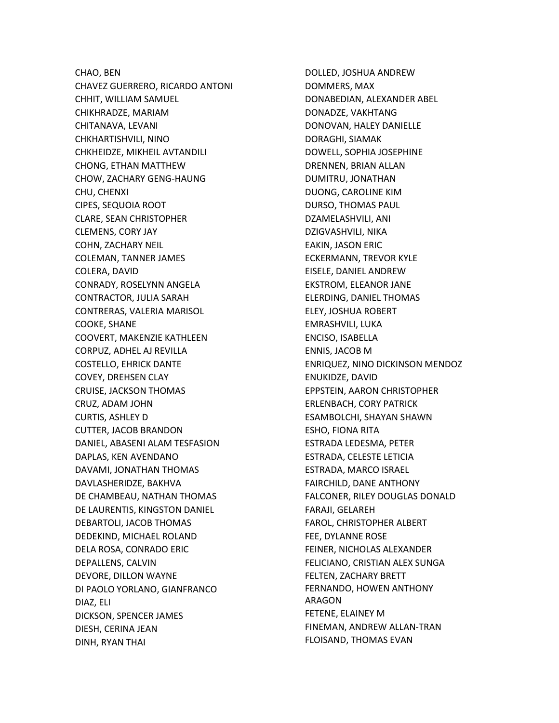CHAO, BEN CHAVEZ GUERRERO, RICARDO ANTONI CHHIT, WILLIAM SAMUEL CHIKHRADZE, MARIAM CHITANAVA, LEVANI CHKHARTISHVILI, NINO CHKHEIDZE, MIKHEIL AVTANDILI CHONG, ETHAN MATTHEW CHOW, ZACHARY GENG-HAUNG CHU, CHENXI CIPES, SEQUOIA ROOT CLARE, SEAN CHRISTOPHER CLEMENS, CORY JAY COHN, ZACHARY NEIL COLEMAN, TANNER JAMES COLERA, DAVID CONRADY, ROSELYNN ANGELA CONTRACTOR, JULIA SARAH CONTRERAS, VALERIA MARISOL COOKE, SHANE COOVERT, MAKENZIE KATHLEEN CORPUZ, ADHEL AJ REVILLA COSTELLO, EHRICK DANTE COVEY, DREHSEN CLAY CRUISE, JACKSON THOMAS CRUZ, ADAM JOHN CURTIS, ASHLEY D CUTTER, JACOB BRANDON DANIEL, ABASENI ALAM TESFASION DAPLAS, KEN AVENDANO DAVAMI, JONATHAN THOMAS DAVLASHERIDZE, BAKHVA DE CHAMBEAU, NATHAN THOMAS DE LAURENTIS, KINGSTON DANIEL DEBARTOLI, JACOB THOMAS DEDEKIND, MICHAEL ROLAND DELA ROSA, CONRADO ERIC DEPALLENS, CALVIN DEVORE, DILLON WAYNE DI PAOLO YORLANO, GIANFRANCO DIAZ, ELI DICKSON, SPENCER JAMES DIESH, CERINA JEAN DINH, RYAN THAI

DOLLED, JOSHUA ANDREW DOMMERS, MAX DONABEDIAN, ALEXANDER ABEL DONADZE, VAKHTANG DONOVAN, HALEY DANIELLE DORAGHI, SIAMAK DOWELL, SOPHIA JOSEPHINE DRENNEN, BRIAN ALLAN DUMITRU, JONATHAN DUONG, CAROLINE KIM DURSO, THOMAS PAUL DZAMELASHVILI, ANI DZIGVASHVILI, NIKA EAKIN, JASON ERIC ECKERMANN, TREVOR KYLE EISELE, DANIEL ANDREW EKSTROM, ELEANOR JANE ELERDING, DANIEL THOMAS ELEY, JOSHUA ROBERT EMRASHVILI, LUKA ENCISO, ISABELLA ENNIS, JACOB M ENRIQUEZ, NINO DICKINSON MENDOZ ENUKIDZE, DAVID EPPSTEIN, AARON CHRISTOPHER ERLENBACH, CORY PATRICK ESAMBOLCHI, SHAYAN SHAWN ESHO, FIONA RITA ESTRADA LEDESMA, PETER ESTRADA, CELESTE LETICIA ESTRADA, MARCO ISRAEL FAIRCHILD, DANE ANTHONY FALCONER, RILEY DOUGLAS DONALD FARAJI, GELAREH FAROL, CHRISTOPHER ALBERT FEE, DYLANNE ROSE FEINER, NICHOLAS ALEXANDER FELICIANO, CRISTIAN ALEX SUNGA FELTEN, ZACHARY BRETT FERNANDO, HOWEN ANTHONY ARAGON FETENE, ELAINEY M FINEMAN, ANDREW ALLAN-TRAN FLOISAND, THOMAS EVAN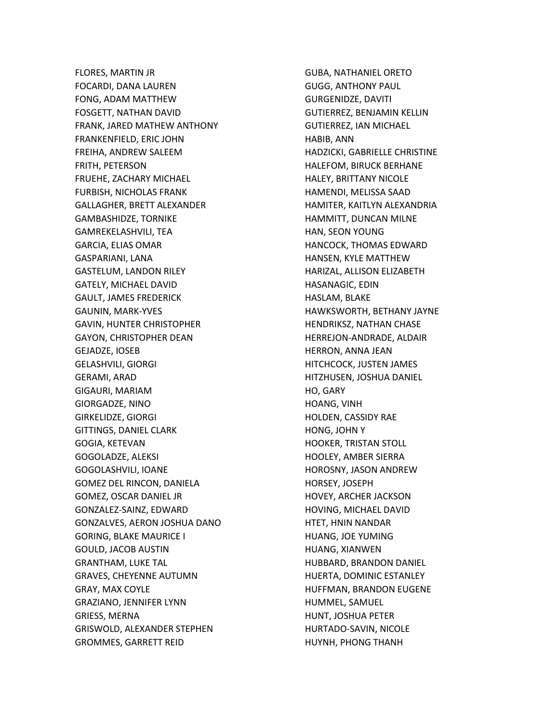FLORES, MARTIN JR FOCARDI, DANA LAUREN FONG, ADAM MATTHEW FOSGETT, NATHAN DAVID FRANK, JARED MATHEW ANTHONY FRANKENFIELD, ERIC JOHN FREIHA, ANDREW SALEEM FRITH, PETERSON FRUEHE, ZACHARY MICHAEL FURBISH, NICHOLAS FRANK GALLAGHER, BRETT ALEXANDER GAMBASHIDZE, TORNIKE GAMREKELASHVILI, TEA GARCIA, ELIAS OMAR GASPARIANI, LANA GASTELUM, LANDON RILEY GATELY, MICHAEL DAVID GAULT, JAMES FREDERICK GAUNIN, MARK-YVES GAVIN, HUNTER CHRISTOPHER GAYON, CHRISTOPHER DEAN GEJADZE, IOSEB GELASHVILI, GIORGI GERAMI, ARAD GIGAURI, MARIAM GIORGADZE, NINO GIRKELIDZE, GIORGI GITTINGS, DANIEL CLARK GOGIA, KETEVAN GOGOLADZE, ALEKSI GOGOLASHVILI, IOANE GOMEZ DEL RINCON, DANIELA GOMEZ, OSCAR DANIEL JR GONZALEZ-SAINZ, EDWARD GONZALVES, AERON JOSHUA DANO GORING, BLAKE MAURICE I GOULD, JACOB AUSTIN GRANTHAM, LUKE TAL GRAVES, CHEYENNE AUTUMN GRAY, MAX COYLE GRAZIANO, JENNIFER LYNN GRIESS, MERNA GRISWOLD, ALEXANDER STEPHEN GROMMES, GARRETT REID

GUBA, NATHANIEL ORETO GUGG, ANTHONY PAUL GURGENIDZE, DAVITI GUTIERREZ, BENJAMIN KELLIN GUTIERREZ, IAN MICHAEL HABIB, ANN HADZICKI, GABRIELLE CHRISTINE HALEFOM, BIRUCK BERHANE HALEY, BRITTANY NICOLE HAMENDI, MELISSA SAAD HAMITER, KAITLYN ALEXANDRIA HAMMITT, DUNCAN MILNE HAN, SEON YOUNG HANCOCK, THOMAS EDWARD HANSEN, KYLE MATTHEW HARIZAL, ALLISON ELIZABETH HASANAGIC, EDIN HASLAM, BLAKE HAWKSWORTH, BETHANY JAYNE HENDRIKSZ, NATHAN CHASE HERREJON-ANDRADE, ALDAIR HERRON, ANNA JEAN HITCHCOCK, JUSTEN JAMES HITZHUSEN, JOSHUA DANIEL HO, GARY HOANG, VINH HOLDEN, CASSIDY RAE HONG, JOHN Y HOOKER, TRISTAN STOLL HOOLEY, AMBER SIERRA HOROSNY, JASON ANDREW HORSEY, JOSEPH HOVEY, ARCHER JACKSON HOVING, MICHAEL DAVID HTET, HNIN NANDAR HUANG, JOE YUMING HUANG, XIANWEN HUBBARD, BRANDON DANIEL HUERTA, DOMINIC ESTANLEY HUFFMAN, BRANDON EUGENE HUMMEL, SAMUEL HUNT, JOSHUA PETER HURTADO-SAVIN, NICOLE HUYNH, PHONG THANH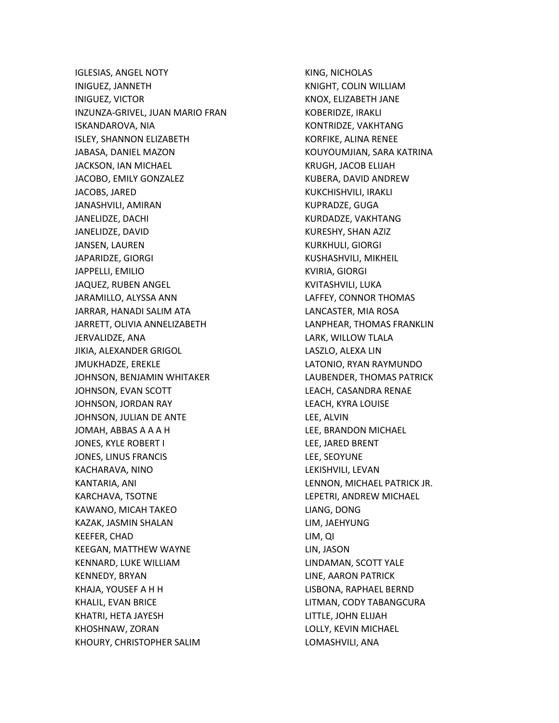IGLESIAS, ANGEL NOTY INIGUEZ, JANNETH INIGUEZ, VICTOR INZUNZA-GRIVEL, JUAN MARIO FRAN ISKANDAROVA, NIA ISLEY, SHANNON ELIZABETH JABASA, DANIEL MAZON JACKSON, IAN MICHAEL JACOBO, EMILY GONZALEZ JACOBS, JARED JANASHVILI, AMIRAN JANELIDZE, DACHI JANELIDZE, DAVID JANSEN, LAUREN JAPARIDZE, GIORGI JAPPELLI, EMILIO JAQUEZ, RUBEN ANGEL JARAMILLO, ALYSSA ANN JARRAR, HANADI SALIM ATA JARRETT, OLIVIA ANNELIZABETH JERVALIDZE, ANA JIKIA, ALEXANDER GRIGOL JMUKHADZE, EREKLE JOHNSON, BENJAMIN WHITAKER JOHNSON, EVAN SCOTT JOHNSON, JORDAN RAY JOHNSON, JULIAN DE ANTE JOMAH, ABBAS A A A H JONES, KYLE ROBERT I JONES, LINUS FRANCIS KACHARAVA, NINO KANTARIA, ANI KARCHAVA, TSOTNE KAWANO, MICAH TAKEO KAZAK, JASMIN SHALAN KEEFER, CHAD KEEGAN, MATTHEW WAYNE KENNARD, LUKE WILLIAM KENNEDY, BRYAN KHAJA, YOUSEF A H H KHALIL, EVAN BRICE KHATRI, HETA JAYESH KHOSHNAW, ZORAN KHOURY, CHRISTOPHER SALIM

KING, NICHOLAS KNIGHT, COLIN WILLIAM KNOX, ELIZABETH JANE KOBERIDZE, IRAKLI KONTRIDZE, VAKHTANG KORFIKE, ALINA RENEE KOUYOUMJIAN, SARA KATRINA KRUGH, JACOB ELIJAH KUBERA, DAVID ANDREW KUKCHISHVILI, IRAKLI KUPRADZE, GUGA KURDADZE, VAKHTANG KURESHY, SHAN AZIZ KURKHULI, GIORGI KUSHASHVILI, MIKHEIL KVIRIA, GIORGI KVITASHVILI, LUKA LAFFEY, CONNOR THOMAS LANCASTER, MIA ROSA LANPHEAR, THOMAS FRANKLIN LARK, WILLOW TLALA LASZLO, ALEXA LIN LATONIO, RYAN RAYMUNDO LAUBENDER, THOMAS PATRICK LEACH, CASANDRA RENAE LEACH, KYRA LOUISE LEE, ALVIN LEE, BRANDON MICHAEL LEE, JARED BRENT LEE, SEOYUNE LEKISHVILI, LEVAN LENNON, MICHAEL PATRICK JR. LEPETRI, ANDREW MICHAEL LIANG, DONG LIM, JAEHYUNG LIM, QI LIN, JASON LINDAMAN, SCOTT YALE LINE, AARON PATRICK LISBONA, RAPHAEL BERND LITMAN, CODY TABANGCURA LITTLE, JOHN ELIJAH LOLLY, KEVIN MICHAEL LOMASHVILI, ANA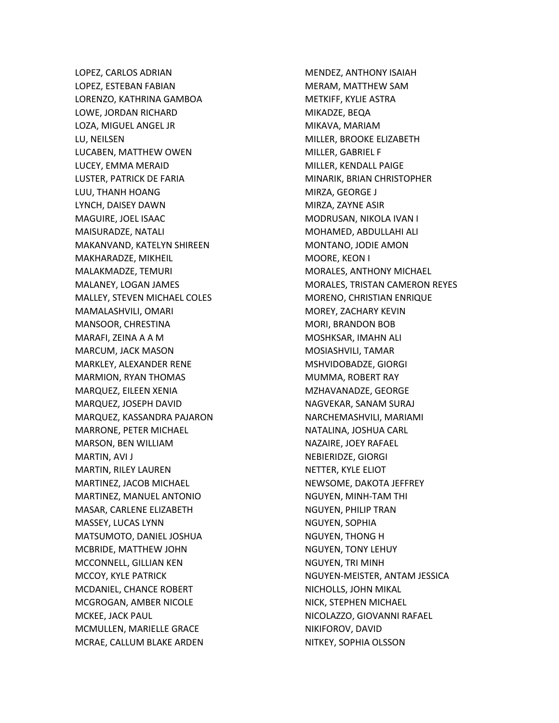LOPEZ, CARLOS ADRIAN LOPEZ, ESTEBAN FABIAN LORENZO, KATHRINA GAMBOA LOWE, JORDAN RICHARD LOZA, MIGUEL ANGEL JR LU, NEILSEN LUCABEN, MATTHEW OWEN LUCEY, EMMA MERAID LUSTER, PATRICK DE FARIA LUU, THANH HOANG LYNCH, DAISEY DAWN MAGUIRE, JOEL ISAAC MAISURADZE, NATALI MAKANVAND, KATELYN SHIREEN MAKHARADZE, MIKHEIL MALAKMADZE, TEMURI MALANEY, LOGAN JAMES MALLEY, STEVEN MICHAEL COLES MAMALASHVILI, OMARI MANSOOR, CHRESTINA MARAFI, ZEINA A A M MARCUM, JACK MASON MARKLEY, ALEXANDER RENE MARMION, RYAN THOMAS MARQUEZ, EILEEN XENIA MARQUEZ, JOSEPH DAVID MARQUEZ, KASSANDRA PAJARON MARRONE, PETER MICHAEL MARSON, BEN WILLIAM MARTIN, AVI J MARTIN, RILEY LAUREN MARTINEZ, JACOB MICHAEL MARTINEZ, MANUEL ANTONIO MASAR, CARLENE ELIZABETH MASSEY, LUCAS LYNN MATSUMOTO, DANIEL JOSHUA MCBRIDE, MATTHEW JOHN MCCONNELL, GILLIAN KEN MCCOY, KYLE PATRICK MCDANIEL, CHANCE ROBERT MCGROGAN, AMBER NICOLE MCKEE, JACK PAUL MCMULLEN, MARIELLE GRACE MCRAE, CALLUM BLAKE ARDEN

MENDEZ, ANTHONY ISAIAH MERAM, MATTHEW SAM METKIFF, KYLIE ASTRA MIKADZE, BEQA MIKAVA, MARIAM MILLER, BROOKE ELIZABETH MILLER, GABRIEL F MILLER, KENDALL PAIGE MINARIK, BRIAN CHRISTOPHER MIRZA, GEORGE J MIRZA, ZAYNE ASIR MODRUSAN, NIKOLA IVAN I MOHAMED, ABDULLAHI ALI MONTANO, JODIE AMON MOORE, KEON I MORALES, ANTHONY MICHAEL MORALES, TRISTAN CAMERON REYES MORENO, CHRISTIAN ENRIQUE MOREY, ZACHARY KEVIN MORI, BRANDON BOB MOSHKSAR, IMAHN ALI MOSIASHVILI, TAMAR MSHVIDOBADZE, GIORGI MUMMA, ROBERT RAY MZHAVANADZE, GEORGE NAGVEKAR, SANAM SURAJ NARCHEMASHVILI, MARIAMI NATALINA, JOSHUA CARL NAZAIRE, JOEY RAFAEL NEBIERIDZE, GIORGI NETTER, KYLE ELIOT NEWSOME, DAKOTA JEFFREY NGUYEN, MINH-TAM THI NGUYEN, PHILIP TRAN NGUYEN, SOPHIA NGUYEN, THONG H NGUYEN, TONY LEHUY NGUYEN, TRI MINH NGUYEN-MEISTER, ANTAM JESSICA NICHOLLS, JOHN MIKAL NICK, STEPHEN MICHAEL NICOLAZZO, GIOVANNI RAFAEL NIKIFOROV, DAVID NITKEY, SOPHIA OLSSON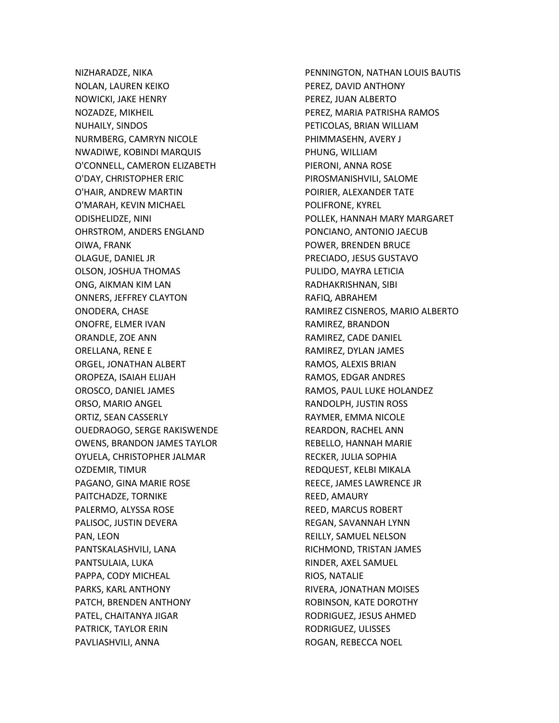NIZHARADZE, NIKA NOLAN, LAUREN KEIKO NOWICKI, JAKE HENRY NOZADZE, MIKHEIL NUHAILY, SINDOS NURMBERG, CAMRYN NICOLE NWADIWE, KOBINDI MARQUIS O'CONNELL, CAMERON ELIZABETH O'DAY, CHRISTOPHER ERIC O'HAIR, ANDREW MARTIN O'MARAH, KEVIN MICHAEL ODISHELIDZE, NINI OHRSTROM, ANDERS ENGLAND OIWA, FRANK OLAGUE, DANIEL JR OLSON, JOSHUA THOMAS ONG, AIKMAN KIM LAN ONNERS, JEFFREY CLAYTON ONODERA, CHASE ONOFRE, ELMER IVAN ORANDLE, ZOE ANN ORELLANA, RENE E ORGEL, JONATHAN ALBERT OROPEZA, ISAIAH ELIJAH OROSCO, DANIEL JAMES ORSO, MARIO ANGEL ORTIZ, SEAN CASSERLY OUEDRAOGO, SERGE RAKISWENDE OWENS, BRANDON JAMES TAYLOR OYUELA, CHRISTOPHER JALMAR OZDEMIR, TIMUR PAGANO, GINA MARIE ROSE PAITCHADZE, TORNIKE PALERMO, ALYSSA ROSE PALISOC, JUSTIN DEVERA PAN, LEON PANTSKALASHVILI, LANA PANTSULAIA, LUKA PAPPA, CODY MICHEAL PARKS, KARL ANTHONY PATCH, BRENDEN ANTHONY PATEL, CHAITANYA JIGAR PATRICK, TAYLOR ERIN PAVLIASHVILI, ANNA

PENNINGTON, NATHAN LOUIS BAUTIS PEREZ, DAVID ANTHONY PEREZ, JUAN ALBERTO PEREZ, MARIA PATRISHA RAMOS PETICOLAS, BRIAN WILLIAM PHIMMASEHN, AVERY J PHUNG, WILLIAM PIERONI, ANNA ROSE PIROSMANISHVILI, SALOME POIRIER, ALEXANDER TATE POLIFRONE, KYREL POLLEK, HANNAH MARY MARGARET PONCIANO, ANTONIO JAECUB POWER, BRENDEN BRUCE PRECIADO, JESUS GUSTAVO PULIDO, MAYRA LETICIA RADHAKRISHNAN, SIBI RAFIQ, ABRAHEM RAMIREZ CISNEROS, MARIO ALBERTO RAMIREZ, BRANDON RAMIREZ, CADE DANIEL RAMIREZ, DYLAN JAMES RAMOS, ALEXIS BRIAN RAMOS, EDGAR ANDRES RAMOS, PAUL LUKE HOLANDEZ RANDOLPH, JUSTIN ROSS RAYMER, EMMA NICOLE REARDON, RACHEL ANN REBELLO, HANNAH MARIE RECKER, JULIA SOPHIA REDQUEST, KELBI MIKALA REECE, JAMES LAWRENCE JR REED, AMAURY REED, MARCUS ROBERT REGAN, SAVANNAH LYNN REILLY, SAMUEL NELSON RICHMOND, TRISTAN JAMES RINDER, AXEL SAMUEL RIOS, NATALIE RIVERA, JONATHAN MOISES ROBINSON, KATE DOROTHY RODRIGUEZ, JESUS AHMED RODRIGUEZ, ULISSES ROGAN, REBECCA NOEL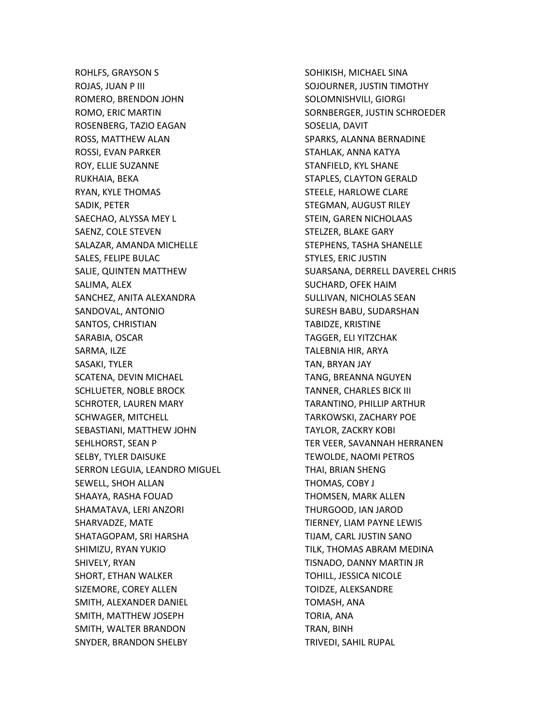ROHLFS, GRAYSON S ROJAS, JUAN P III ROMERO, BRENDON JOHN ROMO, ERIC MARTIN ROSENBERG, TAZIO EAGAN ROSS, MATTHEW ALAN ROSSI, EVAN PARKER ROY, ELLIE SUZANNE RUKHAIA, BEKA RYAN, KYLE THOMAS SADIK, PETER SAECHAO, ALYSSA MEY L SAENZ, COLE STEVEN SALAZAR, AMANDA MICHELLE SALES, FELIPE BULAC SALIE, QUINTEN MATTHEW SALIMA, ALEX SANCHEZ, ANITA ALEXANDRA SANDOVAL, ANTONIO SANTOS, CHRISTIAN SARABIA, OSCAR SARMA, ILZE SASAKI, TYLER SCATENA, DEVIN MICHAEL SCHLUETER, NOBLE BROCK SCHROTER, LAUREN MARY SCHWAGER, MITCHELL SEBASTIANI, MATTHEW JOHN SEHLHORST, SEAN P SELBY, TYLER DAISUKE SERRON LEGUIA, LEANDRO MIGUEL SEWELL, SHOH ALLAN SHAAYA, RASHA FOUAD SHAMATAVA, LERI ANZORI SHARVADZE, MATE SHATAGOPAM, SRI HARSHA SHIMIZU, RYAN YUKIO SHIVELY, RYAN SHORT, ETHAN WALKER SIZEMORE, COREY ALLEN SMITH, ALEXANDER DANIEL SMITH, MATTHEW JOSEPH SMITH, WALTER BRANDON SNYDER, BRANDON SHELBY

SOHIKISH, MICHAEL SINA SOJOURNER, JUSTIN TIMOTHY SOLOMNISHVILI, GIORGI SORNBERGER, JUSTIN SCHROEDER SOSELIA, DAVIT SPARKS, ALANNA BERNADINE STAHLAK, ANNA KATYA STANFIELD, KYL SHANE STAPLES, CLAYTON GERALD STEELE, HARLOWE CLARE STEGMAN, AUGUST RILEY STEIN, GAREN NICHOLAAS STELZER, BLAKE GARY STEPHENS, TASHA SHANELLE STYLES, ERIC JUSTIN SUARSANA, DERRELL DAVEREL CHRIS SUCHARD, OFEK HAIM SULLIVAN, NICHOLAS SEAN SURESH BABU, SUDARSHAN TABIDZE, KRISTINE TAGGER, ELI YITZCHAK TALEBNIA HIR, ARYA TAN, BRYAN JAY TANG, BREANNA NGUYEN TANNER, CHARLES BICK III TARANTINO, PHILLIP ARTHUR TARKOWSKI, ZACHARY POE TAYLOR, ZACKRY KOBI TER VEER, SAVANNAH HERRANEN TEWOLDE, NAOMI PETROS THAI, BRIAN SHENG THOMAS, COBY J THOMSEN, MARK ALLEN THURGOOD, IAN JAROD TIERNEY, LIAM PAYNE LEWIS TIJAM, CARL JUSTIN SANO TILK, THOMAS ABRAM MEDINA TISNADO, DANNY MARTIN JR TOHILL, JESSICA NICOLE TOIDZE, ALEKSANDRE TOMASH, ANA TORIA, ANA TRAN, BINH TRIVEDI, SAHIL RUPAL